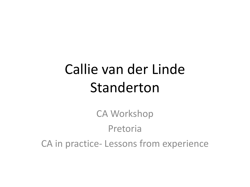## Callie van der Linde Standerton

CA Workshop Pretoria CA in practice- Lessons from experience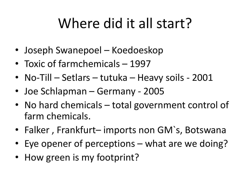## Where did it all start?

- Joseph Swanepoel Koedoeskop
- Toxic of farmchemicals 1997
- No-Till Setlars tutuka Heavy soils 2001
- Joe Schlapman Germany 2005
- No hard chemicals total government control of farm chemicals.
- Falker , Frankfurt– imports non GM`s, Botswana
- Eye opener of perceptions what are we doing?
- How green is my footprint?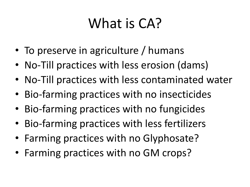## What is CA?

- To preserve in agriculture / humans
- No-Till practices with less erosion (dams)
- No-Till practices with less contaminated water
- Bio-farming practices with no insecticides
- Bio-farming practices with no fungicides
- Bio-farming practices with less fertilizers
- Farming practices with no Glyphosate?
- Farming practices with no GM crops?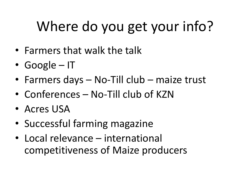# Where do you get your info?

- Farmers that walk the talk
- Google IT
- Farmers days No-Till club maize trust
- Conferences No-Till club of KZN
- Acres USA
- Successful farming magazine
- Local relevance international competitiveness of Maize producers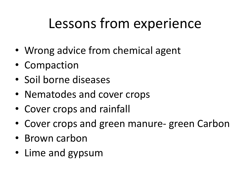### Lessons from experience

- Wrong advice from chemical agent
- Compaction
- Soil borne diseases
- Nematodes and cover crops
- Cover crops and rainfall
- Cover crops and green manure- green Carbon
- Brown carbon
- Lime and gypsum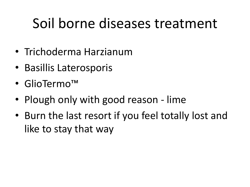## Soil borne diseases treatment

- Trichoderma Harzianum
- Basillis Laterosporis
- GlioTermo™
- Plough only with good reason lime
- Burn the last resort if you feel totally lost and like to stay that way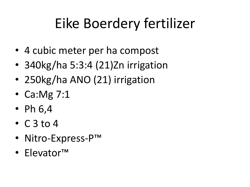# Eike Boerdery fertilizer

- 4 cubic meter per ha compost
- 340kg/ha 5:3:4 (21)Zn irrigation
- 250kg/ha ANO (21) irrigation
- Ca:Mg 7:1
- Ph  $6,4$
- $\cdot$  C 3 to 4
- Nitro-Express-P™
- Elevator™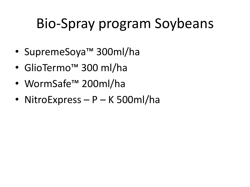# Bio-Spray program Soybeans

- SupremeSoya™ 300ml/ha
- GlioTermo™ 300 ml/ha
- WormSafe™ 200ml/ha
- NitroExpress P K 500ml/ha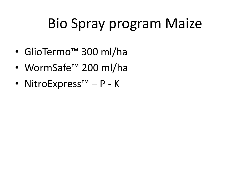## Bio Spray program Maize

- GlioTermo™ 300 ml/ha
- WormSafe™ 200 ml/ha
- NitroExpress™ P K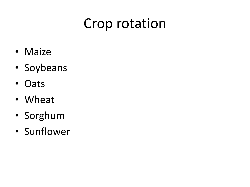### Crop rotation

- Maize
- Soybeans
- Oats
- Wheat
- Sorghum
- Sunflower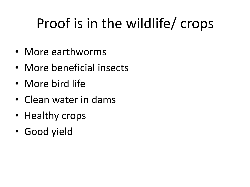# Proof is in the wildlife/ crops

- More earthworms
- More beneficial insects
- More bird life
- Clean water in dams
- Healthy crops
- Good yield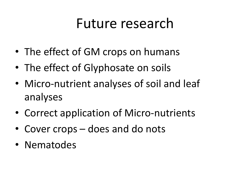#### Future research

- The effect of GM crops on humans
- The effect of Glyphosate on soils
- Micro-nutrient analyses of soil and leaf analyses
- Correct application of Micro-nutrients
- Cover crops does and do nots
- Nematodes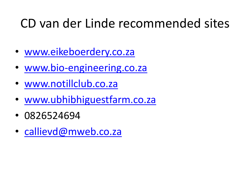#### CD van der Linde recommended sites

- [www.eikeboerdery.co.za](http://www.eikeboerdery.co.za/)
- [www.bio-engineering.co.za](http://www.bio-engineering.co.za/)
- [www.notillclub.co.za](http://www.notillclub.co.za/)
- [www.ubhibhiguestfarm.co.za](http://www.ubhibhiguestfarm.co.za/)
- 0826524694
- [callievd@mweb.co.za](mailto:callievd@mweb.co.za)